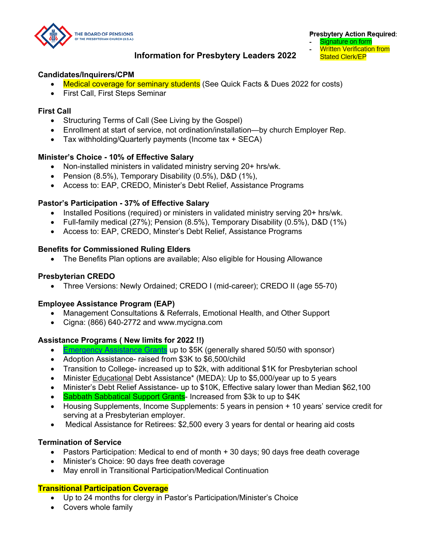THE BOARD OF PENSIONS

**Presbytery Action Required:** 

- Signature on form
- **Written Verification from Stated Clerk/EP**

# **Information for Presbytery Leaders 2022**

## **Candidates/Inquirers/CPM**

- Medical coverage for seminary students (See Quick Facts & Dues 2022 for costs)
- First Call, First Steps Seminar

## **First Call**

- Structuring Terms of Call (See Living by the Gospel)
- Enrollment at start of service, not ordination/installation—by church Employer Rep.
- Tax withholding/Quarterly payments (Income tax + SECA)

## **Minister's Choice - 10% of Effective Salary**

- Non-installed ministers in validated ministry serving 20+ hrs/wk.
- Pension (8.5%), Temporary Disability (0.5%), D&D (1%),
- Access to: EAP, CREDO, Minister's Debt Relief, Assistance Programs

## **Pastor's Participation - 37% of Effective Salary**

- Installed Positions (required) or ministers in validated ministry serving 20+ hrs/wk.
- Full-family medical (27%); Pension (8.5%), Temporary Disability (0.5%), D&D (1%)
- Access to: EAP, CREDO, Minster's Debt Relief, Assistance Programs

## **Benefits for Commissioned Ruling Elders**

• The Benefits Plan options are available; Also eligible for Housing Allowance

## **Presbyterian CREDO**

• Three Versions: Newly Ordained; CREDO I (mid-career); CREDO II (age 55-70)

### **Employee Assistance Program (EAP)**

- Management Consultations & Referrals, Emotional Health, and Other Support
- Cigna: (866) 640-2772 and www.mycigna.com

## **Assistance Programs ( New limits for 2022 !!)**

- Emergency Assistance Grants up to \$5K (generally shared 50/50 with sponsor)
- Adoption Assistance- raised from \$3K to \$6,500/child
- Transition to College- increased up to \$2k, with additional \$1K for Presbyterian school
- Minister Educational Debt Assistance\* (MEDA): Up to \$5,000/year up to 5 years
- Minister's Debt Relief Assistance- up to \$10K, Effective salary lower than Median \$62,100
- Sabbath Sabbatical Support Grants- Increased from \$3k to up to \$4K
- Housing Supplements, Income Supplements: 5 years in pension + 10 years' service credit for serving at a Presbyterian employer.
- Medical Assistance for Retirees: \$2,500 every 3 years for dental or hearing aid costs

### **Termination of Service**

- Pastors Participation: Medical to end of month + 30 days; 90 days free death coverage
- Minister's Choice: 90 days free death coverage
- May enroll in Transitional Participation/Medical Continuation

## **Transitional Participation Coverage**

- Up to 24 months for clergy in Pastor's Participation/Minister's Choice
- Covers whole family